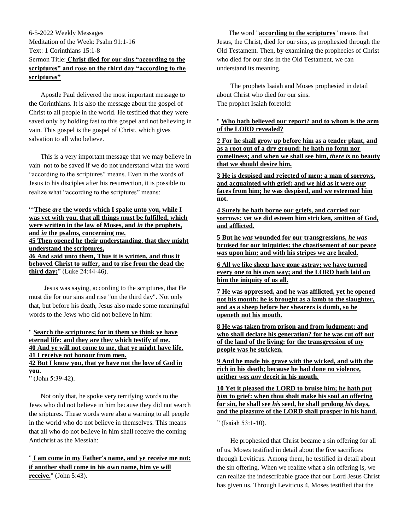# 6-5-2022 Weekly Messages Meditation of the Week: Psalm 91:1-16 Text: 1 Corinthians 15:1-8 Sermon Title: **Christ died for our sins "according to the scriptures" and rose on the third day "according to the scriptures"**

 Apostle Paul delivered the most important message to the Corinthians. It is also the message about the gospel of Christ to all people in the world. He testified that they were saved only by holding fast to this gospel and not believing in vain. This gospel is the gospel of Christ, which gives salvation to all who believe.

 This is a very important message that we may believe in vain not to be saved if we do not understand what the word "according to the scriptures" means. Even in the words of Jesus to his disciples after his resurrection, it is possible to realize what "according to the scriptures" means:

### "'**These** *are* **[the words which I spake unto you, while I](https://www.kingjamesbibleonline.org/Luke-24-44/)  [was yet with you, that all things must be fulfilled, which](https://www.kingjamesbibleonline.org/Luke-24-44/)  [were written in the law of Moses, and](https://www.kingjamesbibleonline.org/Luke-24-44/)** *in* **the prophets, and** *in* **[the psalms, concerning me.](https://www.kingjamesbibleonline.org/Luke-24-44/) [45 Then opened he their understanding, that they might](https://www.kingjamesbibleonline.org/Luke-24-45/)  [understand the scriptures,](https://www.kingjamesbibleonline.org/Luke-24-45/) [46 And said unto them, Thus it is written, and thus it](https://www.kingjamesbibleonline.org/Luke-24-46/)  [behoved Christ to suffer, and to rise from the dead the](https://www.kingjamesbibleonline.org/Luke-24-46/)  [third day:](https://www.kingjamesbibleonline.org/Luke-24-46/)**" (Luke 24:44-46).

 Jesus was saying, according to the scriptures, that He must die for our sins and rise "on the third day". Not only that, but before his death, Jesus also made some meaningful words to the Jews who did not believe in him:

## " **[Search the scriptures; for in them ye think ye have](https://www.kingjamesbibleonline.org/John-5-39/)  [eternal life: and they are they which testify of me.](https://www.kingjamesbibleonline.org/John-5-39/) 40 [And ye will not come to me, that ye might have life.](https://www.kingjamesbibleonline.org/John-5-40/) [41 I receive not honour from men.](https://www.kingjamesbibleonline.org/John-5-41/) [42 But I know you, that ye have not the love of God in](https://www.kingjamesbibleonline.org/John-5-42/)  [you.](https://www.kingjamesbibleonline.org/John-5-42/)**

" (John 5:39-42).

 Not only that, he spoke very terrifying words to the Jews who did not believe in him because they did not search the sriptures. These words were also a warning to all people in the world who do not believe in themselves. This means that all who do not believe in him shall receive the coming Antichrist as the Messiah:

# " **[I am come in my Father's name, and ye receive me not:](https://www.kingjamesbibleonline.org/John-5-43/)  [if another shall come in his own name, him ye will](https://www.kingjamesbibleonline.org/John-5-43/)  [receive.](https://www.kingjamesbibleonline.org/John-5-43/)**" (John 5:43).

 The word "**according to the scriptures**" means that Jesus, the Christ, died for our sins, as prophesied through the Old Testament. Then, by examining the prophecies of Christ who died for our sins in the Old Testament, we can understand its meaning.

 The prophets Isaiah and Moses prophesied in detail about Christ who died for our sins. The prophet Isaiah foretold:

## " **[Who hath believed our report? and to whom is the arm](https://www.kingjamesbibleonline.org/Isaiah-53-1/)  [of the LORD revealed?](https://www.kingjamesbibleonline.org/Isaiah-53-1/)**

**[2 For he shall grow up before him as a tender plant, and](https://www.kingjamesbibleonline.org/Isaiah-53-2/)  [as a root out of a dry ground: he hath no form nor](https://www.kingjamesbibleonline.org/Isaiah-53-2/)  [comeliness; and when we shall see him,](https://www.kingjamesbibleonline.org/Isaiah-53-2/)** *there is* **no beauty [that we should desire him.](https://www.kingjamesbibleonline.org/Isaiah-53-2/)**

**[3 He is despised and rejected of men; a man of sorrows,](https://www.kingjamesbibleonline.org/Isaiah-53-3/)  [and acquainted with grief: and we hid as it were](https://www.kingjamesbibleonline.org/Isaiah-53-3/)** *our* **[faces from him; he was despised, and we esteemed him](https://www.kingjamesbibleonline.org/Isaiah-53-3/)  [not.](https://www.kingjamesbibleonline.org/Isaiah-53-3/)**

**[4 Surely he hath borne our griefs, and carried our](https://www.kingjamesbibleonline.org/Isaiah-53-4/)  [sorrows: yet we did esteem him stricken, smitten of God,](https://www.kingjamesbibleonline.org/Isaiah-53-4/)  [and afflicted.](https://www.kingjamesbibleonline.org/Isaiah-53-4/)**

**5 But he** *was* **[wounded for our transgressions,](https://www.kingjamesbibleonline.org/Isaiah-53-5/)** *he was* **[bruised for our iniquities: the chastisement of our peace](https://www.kingjamesbibleonline.org/Isaiah-53-5/)**  *was* **[upon him; and with his stripes we are healed.](https://www.kingjamesbibleonline.org/Isaiah-53-5/)**

**[6 All we like sheep have gone astray; we have turned](https://www.kingjamesbibleonline.org/Isaiah-53-6/)  [every one to his own way; and the LORD hath laid on](https://www.kingjamesbibleonline.org/Isaiah-53-6/)  [him the iniquity of us](https://www.kingjamesbibleonline.org/Isaiah-53-6/) all.**

**[7 He was oppressed, and he was afflicted, yet he opened](https://www.kingjamesbibleonline.org/Isaiah-53-7/)  [not his mouth: he is brought as a lamb to the slaughter,](https://www.kingjamesbibleonline.org/Isaiah-53-7/)  [and as a sheep before her shearers is](https://www.kingjamesbibleonline.org/Isaiah-53-7/) dumb, so he [openeth not his mouth.](https://www.kingjamesbibleonline.org/Isaiah-53-7/)**

**[8 He was taken from prison and from judgment: and](https://www.kingjamesbibleonline.org/Isaiah-53-8/)  [who shall declare his generation? for he was cut off out](https://www.kingjamesbibleonline.org/Isaiah-53-8/)  [of the land of the living: for the transgression of my](https://www.kingjamesbibleonline.org/Isaiah-53-8/)  [people was he stricken.](https://www.kingjamesbibleonline.org/Isaiah-53-8/)**

**[9 And he made his grave with the wicked, and with the](https://www.kingjamesbibleonline.org/Isaiah-53-9/)  [rich in his death; because he had done no violence,](https://www.kingjamesbibleonline.org/Isaiah-53-9/)  neither** *was any* **[deceit in his mouth.](https://www.kingjamesbibleonline.org/Isaiah-53-9/)**

**[10 Yet it pleased the LORD to bruise him; he hath put](https://www.kingjamesbibleonline.org/Isaiah-53-10/)**  *him* **[to grief: when thou shalt make his soul an offering](https://www.kingjamesbibleonline.org/Isaiah-53-10/)  for sin, he shall see** *his* **[seed, he shall prolong](https://www.kingjamesbibleonline.org/Isaiah-53-10/)** *his* **days, [and the pleasure of the LORD shall prosper in his hand.](https://www.kingjamesbibleonline.org/Isaiah-53-10/)**

" (Isaiah 53:1-10).

 He prophesied that Christ became a sin offering for all of us. Moses testified in detail about the five sacrifices through Leviticus. Among them, he testified in detail about the sin offering. When we realize what a sin offering is, we can realize the indescribable grace that our Lord Jesus Christ has given us. Through Leviticus 4, Moses testified that the